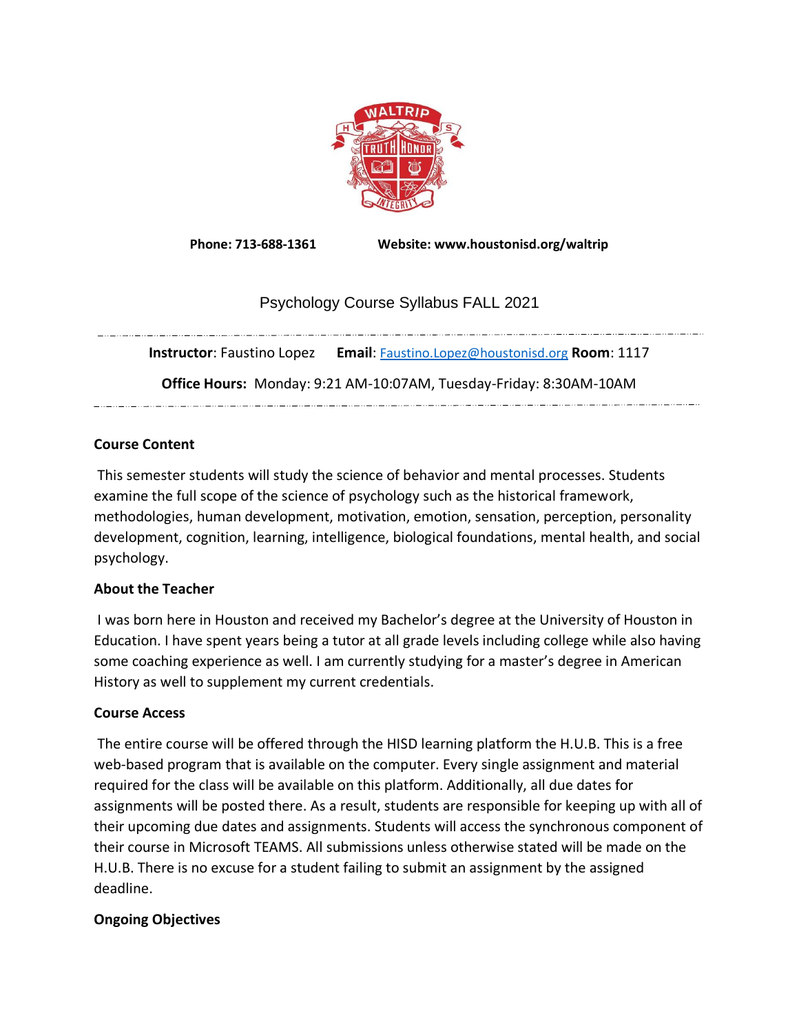

**Phone: 713-688-1361 Website: www.houstonisd.org/waltrip**

# Psychology Course Syllabus FALL 2021

**Instructor**: Faustino Lopez **Email**: [Faustino.Lopez@houstonisd.org](mailto:Faustino.Lopez@houstonisd.org) **Room**: 1117

**Office Hours:** Monday: 9:21 AM-10:07AM, Tuesday-Friday: 8:30AM-10AM

an an amazo an amazo an amazo an amazo an amazo an amazo an amazo an amazo an amazo an amazo an amazo an amazo

### **Course Content**

This semester students will study the science of behavior and mental processes. Students examine the full scope of the science of psychology such as the historical framework, methodologies, human development, motivation, emotion, sensation, perception, personality development, cognition, learning, intelligence, biological foundations, mental health, and social psychology.

### **About the Teacher**

I was born here in Houston and received my Bachelor's degree at the University of Houston in Education. I have spent years being a tutor at all grade levels including college while also having some coaching experience as well. I am currently studying for a master's degree in American History as well to supplement my current credentials.

### **Course Access**

The entire course will be offered through the HISD learning platform the H.U.B. This is a free web-based program that is available on the computer. Every single assignment and material required for the class will be available on this platform. Additionally, all due dates for assignments will be posted there. As a result, students are responsible for keeping up with all of their upcoming due dates and assignments. Students will access the synchronous component of their course in Microsoft TEAMS. All submissions unless otherwise stated will be made on the H.U.B. There is no excuse for a student failing to submit an assignment by the assigned deadline.

### **Ongoing Objectives**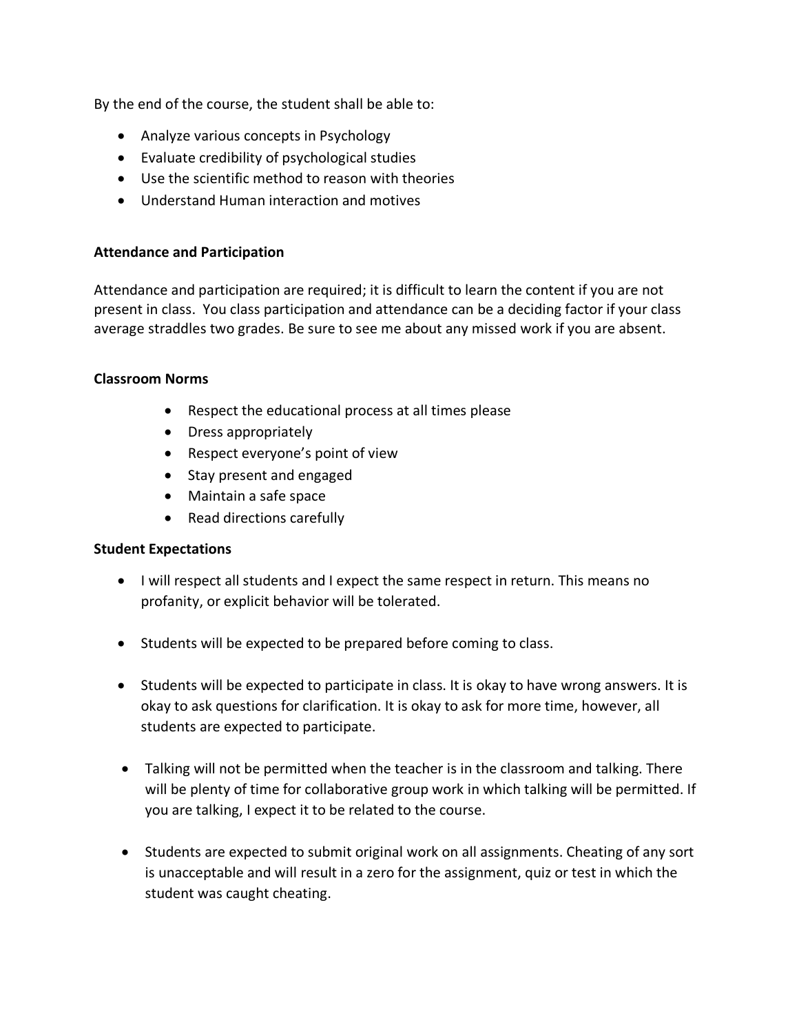By the end of the course, the student shall be able to:

- Analyze various concepts in Psychology
- Evaluate credibility of psychological studies
- Use the scientific method to reason with theories
- Understand Human interaction and motives

#### **Attendance and Participation**

Attendance and participation are required; it is difficult to learn the content if you are not present in class. You class participation and attendance can be a deciding factor if your class average straddles two grades. Be sure to see me about any missed work if you are absent.

#### **Classroom Norms**

- Respect the educational process at all times please
- Dress appropriately
- Respect everyone's point of view
- Stay present and engaged
- Maintain a safe space
- Read directions carefully

#### **Student Expectations**

- I will respect all students and I expect the same respect in return. This means no profanity, or explicit behavior will be tolerated.
- Students will be expected to be prepared before coming to class.
- Students will be expected to participate in class. It is okay to have wrong answers. It is okay to ask questions for clarification. It is okay to ask for more time, however, all students are expected to participate.
- Talking will not be permitted when the teacher is in the classroom and talking. There will be plenty of time for collaborative group work in which talking will be permitted. If you are talking, I expect it to be related to the course.
- Students are expected to submit original work on all assignments. Cheating of any sort is unacceptable and will result in a zero for the assignment, quiz or test in which the student was caught cheating.